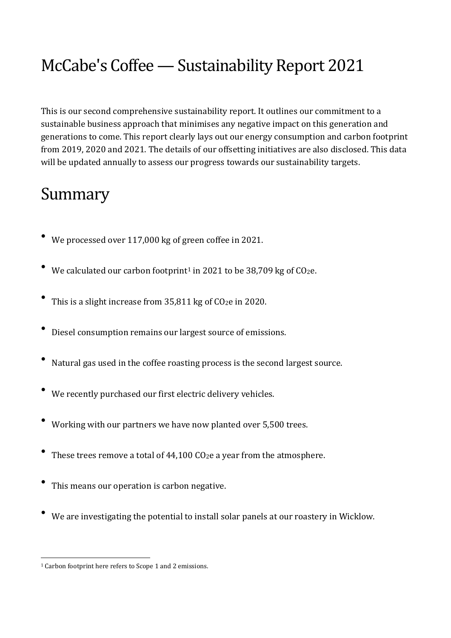# McCabe's Coffee—Sustainability Report 2021

This is our second comprehensive sustainability report. It outlines our commitment to a sustainable business approach that minimises any negative impact on this generation and generations to come. This report clearly lays out our energy consumption and carbon footprint from 2019, 2020 and 2021. The details of our offsetting initiatives are also disclosed. This data will be updated annually to assess our progress towards our sustainability targets.

### Summary

- We processed over 117,000 kg of green coffee in 2021.
- We calculated our carbon footprint<sup>1</sup> in 2021 to be 38,709 kg of  $CO<sub>2</sub>e$ .
- This is <sup>a</sup> slight increase from 35,811 kg of CO2<sup>e</sup> in 2020.
- Diesel consumption remains our largest source of emissions.
- Natural gas used in the coffee roasting process is the second largest source.
- We recently purchased our first electric delivery vehicles.
- Working with our partners we have now planted over 5,500 trees.
- These trees remove a total of 44,100 CO<sub>2</sub>e a year from the atmosphere.
- This means our operation is carbon negative.
- We are investigating the potential to install solar panels at our roastery in Wicklow.

<sup>1</sup> Carbon footprint here refers to Scope 1 and 2 emissions.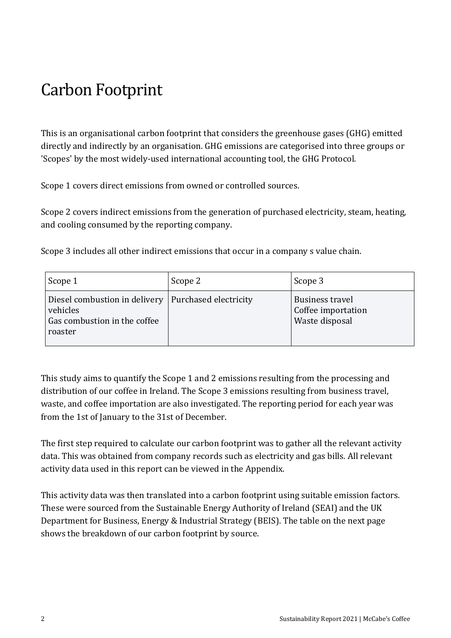## Carbon Footprint

This is an organisational carbon footprint that considers the greenhouse gases (GHG) emitted directly and indirectly by an organisation. GHG emissions are categorised into three groups or 'Scopes' by the most widely-used international accounting tool, the GHG Protocol.

Scope 1 covers direct emissions from owned or controlled sources.

Scope 2 covers indirect emissions from the generation of purchased electricity, steam, heating, and cooling consumed by the reporting company.

Scope 3 includes all other indirect emissions that occur in a company s value chain.

| Scope 1                                                                                                      | Scope 2 | Scope 3                                                 |
|--------------------------------------------------------------------------------------------------------------|---------|---------------------------------------------------------|
| Diesel combustion in delivery   Purchased electricity<br>vehicles<br>Gas combustion in the coffee<br>roaster |         | Business travel<br>Coffee importation<br>Waste disposal |

This study aims to quantify the Scope 1 and 2 emissions resulting from the processing and distribution of our coffee in Ireland. The Scope 3 emissions resulting from business travel, waste, and coffee importation are also investigated. The reporting period for each year was from the 1st of January to the 31st of December.

The first step required to calculate our carbon footprint was to gather all the relevant activity data. This was obtained from company records such as electricity and gas bills. All relevant activity data used in this report can be viewed in the Appendix.

This activity data was then translated into a carbon footprint using suitable emission factors. These were sourced from the Sustainable Energy Authority of Ireland (SEAI) and the UK Department for Business, Energy & Industrial Strategy (BEIS). The table on the next page shows the breakdown of our carbon footprint by source.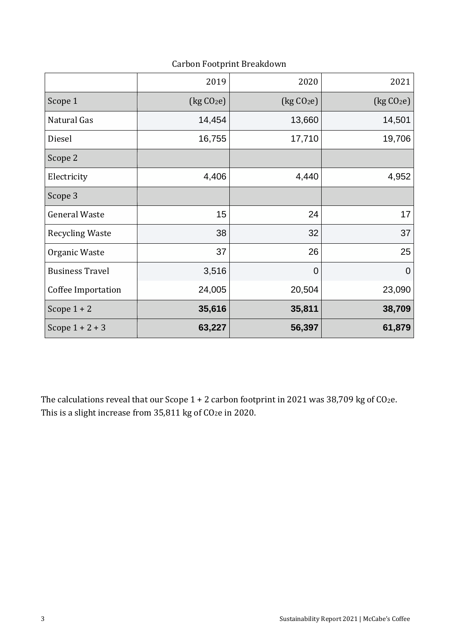Carbon Footprint Breakdown

|                        | 2019                                  | 2020                             | 2021                                  |
|------------------------|---------------------------------------|----------------------------------|---------------------------------------|
| Scope 1                | $\left[\text{kg CO}_2\text{e}\right]$ | $\left(\text{kg }CO_{2}e\right)$ | $\left[\text{kg CO}_2\text{e}\right]$ |
| Natural Gas            | 14,454                                | 13,660                           | 14,501                                |
| Diesel                 | 16,755                                | 17,710                           | 19,706                                |
| Scope 2                |                                       |                                  |                                       |
| Electricity            | 4,406                                 | 4,440                            | 4,952                                 |
| Scope 3                |                                       |                                  |                                       |
| <b>General Waste</b>   | 15                                    | 24                               | 17                                    |
| <b>Recycling Waste</b> | 38                                    | 32                               | 37                                    |
| Organic Waste          | 37                                    | 26                               | 25                                    |
| <b>Business Travel</b> | 3,516                                 | $\overline{0}$                   | $\overline{0}$                        |
| Coffee Importation     | 24,005                                | 20,504                           | 23,090                                |
| Scope $1 + 2$          | 35,616                                | 35,811                           | 38,709                                |
| Scope $1 + 2 + 3$      | 63,227                                | 56,397                           | 61,879                                |

The calculations reveal that our Scope  $1 + 2$  carbon footprint in 2021 was 38,709 kg of CO<sub>2</sub>e. This is a slight increase from 35,811 kg of CO<sub>2</sub>e in 2020.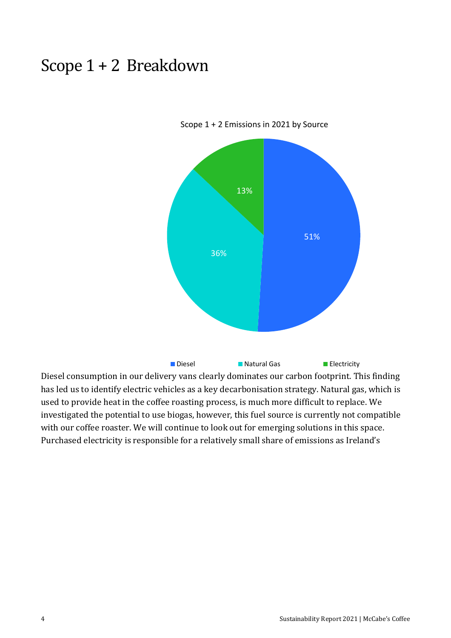#### Scope 1 + 2 Breakdown



Scope 1 + 2 Emissions in 2021 by Source

Diesel consumption in our delivery vans clearly dominates our carbon footprint. This finding has led us to identify electric vehicles as a key decarbonisation strategy. Natural gas, which is used to provide heat in the coffee roasting process, is much more difficult to replace. We investigated the potential to use biogas, however, this fuel source is currently not compatible with our coffee roaster. We will continue to look out for emerging solutions in this space. Purchased electricity is responsible for a relatively small share of emissions as Ireland's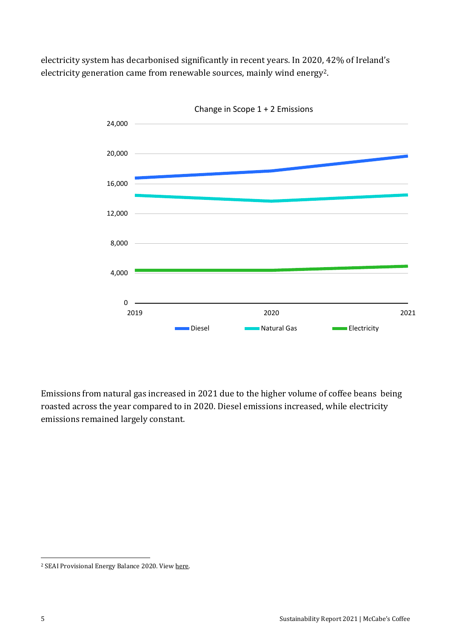electricity system has decarbonised significantly in recent years. In 2020, 42% of Ireland's electricity generation came from renewable sources, mainly wind energy2.



Change in Scope 1 + 2 Emissions

Emissions from natural gas increased in 2021 due to the higher volume of coffee beans being roasted across the year compared to in 2020. Diesel emissions increased, while electricity emissions remained largely constant.

<sup>2</sup> SEAI Provisional Energy Balance 2020. View [here.](https://www.seai.ie/news-and-media/provisional-energy-balanc/)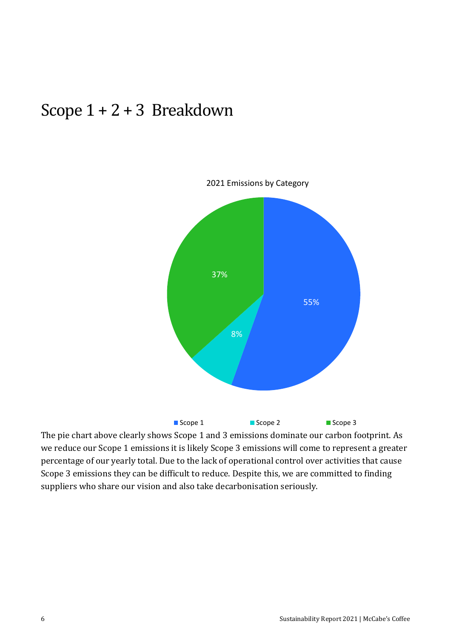#### Scope 1 + 2 + 3 Breakdown



The pie chart above clearly shows Scope 1 and 3 emissions dominate our carbon footprint. As we reduce our Scope 1 emissions it is likely Scope 3 emissions will come to represent a greater percentage of our yearly total. Due to the lack of operational control over activities that cause Scope 3 emissions they can be difficult to reduce. Despite this, we are committed to finding suppliers who share our vision and also take decarbonisation seriously.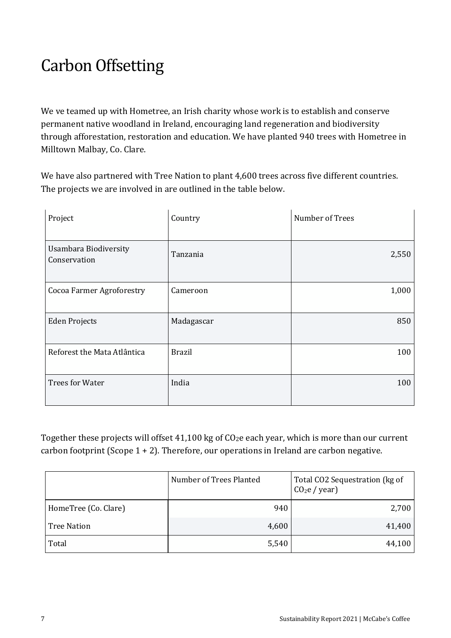# **Carbon Offsetting**

We ve teamed up with Hometree, an Irish charity whose work is to establish and conserve permanent native woodland in Ireland, encouraging land regeneration and biodiversity through afforestation, restoration and education. We have planted 940 trees with Hometree in Milltown Malbay, Co. Clare.

We have also partnered with Tree Nation to plant 4,600 trees across five different countries. The projects we are involved in are outlined in the table below.

| Project                                      | Country       | Number of Trees |
|----------------------------------------------|---------------|-----------------|
| <b>Usambara Biodiversity</b><br>Conservation | Tanzania      | 2,550           |
| <b>Cocoa Farmer Agroforestry</b>             | Cameroon      | 1,000           |
| <b>Eden Projects</b>                         | Madagascar    | 850             |
| Reforest the Mata Atlântica                  | <b>Brazil</b> | 100             |
| <b>Trees for Water</b>                       | India         | 100             |

Together these projects will offset 41,100 kg of CO2e each year, which is more than our current carbon footprint (Scope  $1 + 2$ ). Therefore, our operations in Ireland are carbon negative.

|                      | Number of Trees Planted | Total CO2 Sequestration (kg of<br>$CO2e$ / year) |
|----------------------|-------------------------|--------------------------------------------------|
| HomeTree (Co. Clare) | 940                     | 2,700                                            |
| <b>Tree Nation</b>   | 4,600                   | 41,400                                           |
| Total                | 5,540                   | 44,100                                           |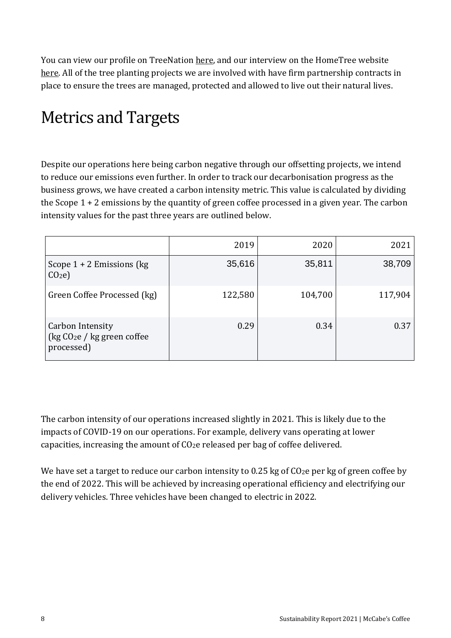You can view our profile on TreeNation [here,](https://tree-nation.com/profile/impact/stephen-mccabe) and our interview on the HomeTree website [here.](https://www.hometree.ie/mccabes-coffee-ltd) All of the tree planting projects we are involved with have firm partnership contracts in place to ensure the trees are managed, protected and allowed to live out their natural lives.

# Metrics and Targets

Despite our operations here being carbon negative through our offsetting projects, we intend to reduce our emissions even further. In order to track our decarbonisation progress as the business grows, we have created a carbon intensity metric. This value is calculated by dividing the Scope 1 + 2 emissions by the quantity of green coffee processed in a given year. The carbon intensity values for the past three years are outlined below.

|                                                                 | 2019    | 2020    | 2021    |
|-----------------------------------------------------------------|---------|---------|---------|
| Scope $1 + 2$ Emissions (kg)<br>CO <sub>2</sub> e               | 35,616  | 35,811  | 38,709  |
| Green Coffee Processed (kg)                                     | 122,580 | 104,700 | 117,904 |
| Carbon Intensity<br>( $kg CO2e / kg$ green coffee<br>processed) | 0.29    | 0.34    | 0.37    |

The carbon intensity of our operations increased slightly in 2021. This is likely due to the impacts of COVID-19 on our operations. For example, delivery vans operating at lower capacities, increasing the amount of CO2e released per bag of coffee delivered.

We have set a target to reduce our carbon intensity to 0.25 kg of CO<sub>2</sub>e per kg of green coffee by the end of 2022. This will be achieved by increasing operational efficiency and electrifying our delivery vehicles. Three vehicles have been changed to electric in 2022.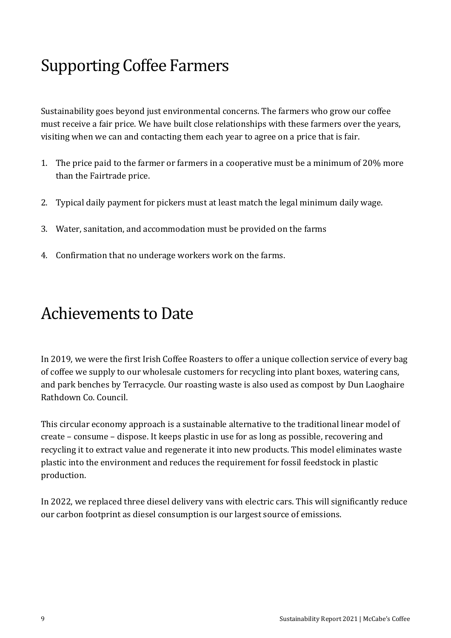## Supporting Coffee Farmers

Sustainability goes beyond just environmental concerns. The farmers who grow our coffee must receive a fair price. We have built close relationships with these farmers over the years, visiting when we can and contacting them each year to agree on a price that is fair.

- 1. The price paid to the farmer or farmers in a cooperative must be a minimum of 20% more than the Fairtrade price.
- 2. Typical daily payment for pickers must at least match the legal minimum daily wage.
- 3. Water, sanitation, and accommodation must be provided on the farms
- 4. Confirmation that no underage workers work on the farms.

#### Achievements to Date

In 2019, we were the first Irish Coffee Roasters to offer a unique collection service of every bag of coffee we supply to our wholesale customers for recycling into plant boxes, watering cans, and park benches by Terracycle. Our roasting waste is also used as compost by Dun Laoghaire Rathdown Co. Council.

This circular economy approach is a sustainable alternative to the traditional linear model of create – consume – dispose. It keeps plastic in use for as long as possible, recovering and recycling it to extract value and regenerate it into new products. This model eliminates waste plastic into the environment and reduces the requirement for fossil feedstock in plastic production.

In 2022, we replaced three diesel delivery vans with electric cars. This will significantly reduce our carbon footprint as diesel consumption is our largest source of emissions.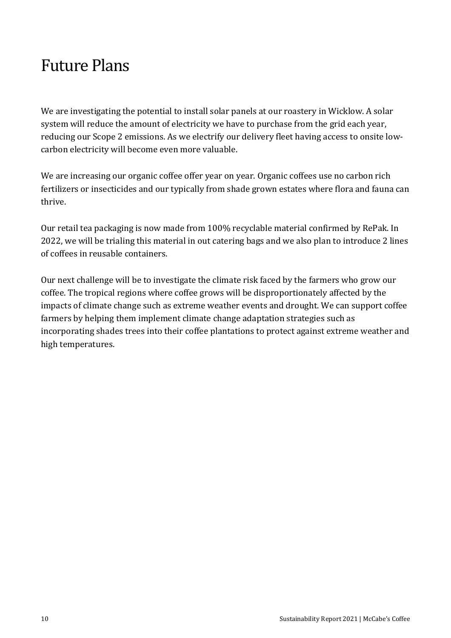### Future Plans

We are investigating the potential to install solar panels at our roastery in Wicklow. A solar system will reduce the amount of electricity we have to purchase from the grid each year, reducing our Scope 2 emissions. As we electrify our delivery fleet having access to onsite lowcarbon electricity will become even more valuable.

We are increasing our organic coffee offer year on year. Organic coffees use no carbon rich fertilizers or insecticides and our typically from shade grown estates where flora and fauna can thrive.

Our retail tea packaging is now made from 100% recyclable material confirmed by RePak. In 2022, we will be trialing this material in out catering bags and we also plan to introduce 2 lines of coffees in reusable containers.

Our next challenge will be to investigate the climate risk faced by the farmers who grow our coffee. The tropical regions where coffee grows will be disproportionately affected by the impacts of climate change such as extreme weather events and drought. We can support coffee farmers by helping them implement climate change adaptation strategies such as incorporating shades trees into their coffee plantations to protect against extreme weather and high temperatures.